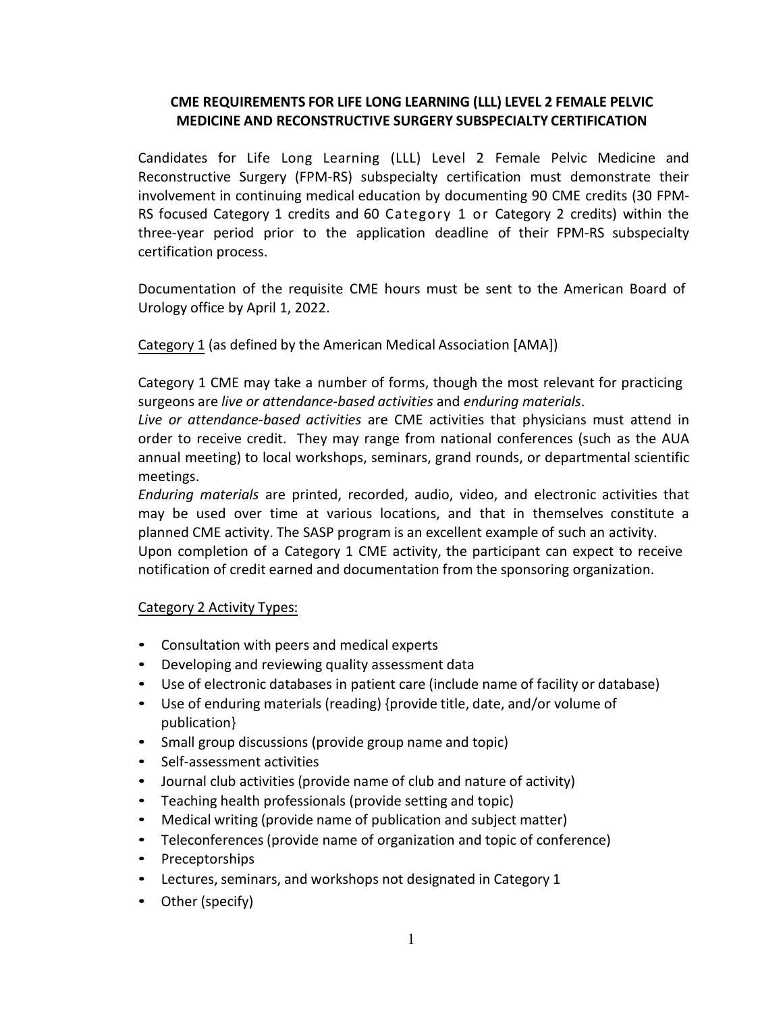## **CME REQUIREMENTS FOR LIFE LONG LEARNING (LLL) LEVEL 2 FEMALE PELVIC MEDICINE AND RECONSTRUCTIVE SURGERY SUBSPECIALTY CERTIFICATION**

Candidates for Life Long Learning (LLL) Level 2 Female Pelvic Medicine and Reconstructive Surgery (FPM-RS) subspecialty certification must demonstrate their involvement in continuing medical education by documenting 90 CME credits (30 FPM-RS focused Category 1 credits and 60 Category 1 or Category 2 credits) within the three-year period prior to the application deadline of their FPM-RS subspecialty certification process.

Documentation of the requisite CME hours must be sent to the American Board of Urology office by April 1, 2022.

Category 1 (as defined by the American Medical Association [AMA])

Category 1 CME may take a number of forms, though the most relevant for practicing surgeons are *live or attendance-based activities* and *enduring materials*.

*Live or attendance-based activities* are CME activities that physicians must attend in order to receive credit. They may range from national conferences (such as the AUA annual meeting) to local workshops, seminars, grand rounds, or departmental scientific meetings.

*Enduring materials* are printed, recorded, audio, video, and electronic activities that may be used over time at various locations, and that in themselves constitute a planned CME activity. The SASP program is an excellent example of such an activity. Upon completion of a Category 1 CME activity, the participant can expect to receive notification of credit earned and documentation from the sponsoring organization.

## Category 2 Activity Types:

- Consultation with peers and medical experts
- Developing and reviewing quality assessment data
- Use of electronic databases in patient care (include name of facility or database)
- Use of enduring materials (reading) {provide title, date, and/or volume of publication}
- Small group discussions (provide group name and topic)
- Self-assessment activities
- Journal club activities (provide name of club and nature of activity)
- Teaching health professionals (provide setting and topic)
- Medical writing (provide name of publication and subject matter)
- Teleconferences (provide name of organization and topic of conference)
- Preceptorships
- Lectures, seminars, and workshops not designated in Category 1
- Other (specify)